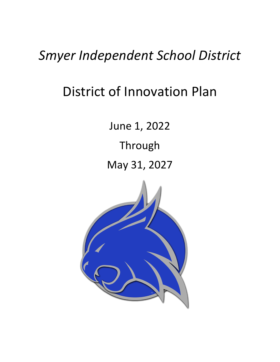# *Smyer Independent School District*

# District of Innovation Plan

June 1, 2022 Through May 31, 2027

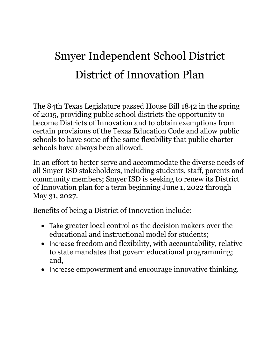# Smyer Independent School District District of Innovation Plan

The 84th Texas Legislature passed House Bill 1842 in the spring of 2015, providing public school districts the opportunity to become Districts of Innovation and to obtain exemptions from certain provisions of the Texas Education Code and allow public schools to have some of the same flexibility that public charter schools have always been allowed.

In an effort to better serve and accommodate the diverse needs of all Smyer ISD stakeholders, including students, staff, parents and community members; Smyer ISD is seeking to renew its District of Innovation plan for a term beginning June 1, 2022 through May 31, 2027.

Benefits of being a District of Innovation include:

- Take greater local control as the decision makers over the educational and instructional model for students;
- Increase freedom and flexibility, with accountability, relative to state mandates that govern educational programming; and,
- Increase empowerment and encourage innovative thinking.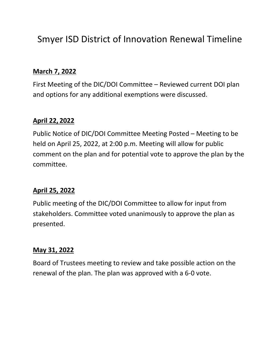# Smyer ISD District of Innovation Renewal Timeline

### **March 7, 2022**

First Meeting of the DIC/DOI Committee – Reviewed current DOI plan and options for any additional exemptions were discussed.

# **April 22, 2022**

Public Notice of DIC/DOI Committee Meeting Posted – Meeting to be held on April 25, 2022, at 2:00 p.m. Meeting will allow for public comment on the plan and for potential vote to approve the plan by the committee.

# **April 25, 2022**

Public meeting of the DIC/DOI Committee to allow for input from stakeholders. Committee voted unanimously to approve the plan as presented.

# **May 31, 2022**

Board of Trustees meeting to review and take possible action on the renewal of the plan. The plan was approved with a 6-0 vote.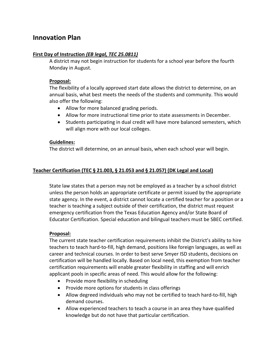### **Innovation Plan**

#### **First Day of Instruction** *(EB legal, TEC 25.0811)*

A district may not begin instruction for students for a school year before the fourth Monday in August.

#### **Proposal:**

The flexibility of a locally approved start date allows the district to determine, on an annual basis, what best meets the needs of the students and community. This would also offer the following:

- Allow for more balanced grading periods.
- Allow for more instructional time prior to state assessments in December.
- Students participating in dual credit will have more balanced semesters, which will align more with our local colleges.

#### **Guidelines:**

The district will determine, on an annual basis, when each school year will begin.

#### **Teacher Certification (TEC § 21.003, § 21.053 and § 21.057) (DK Legal and Local)**

State law states that a person may not be employed as a teacher by a school district unless the person holds an appropriate certificate or permit issued by the appropriate state agency. In the event, a district cannot locate a certified teacher for a position or a teacher is teaching a subject outside of their certification, the district must request emergency certification from the Texas Education Agency and/or State Board of Educator Certification. Special education and bilingual teachers must be SBEC certified.

#### **Proposal:**

The current state teacher certification requirements inhibit the District's ability to hire teachers to teach hard-to-fill, high demand, positions like foreign languages, as well as career and technical courses. In order to best serve Smyer ISD students, decisions on certification will be handled locally. Based on local need, this exemption from teacher certification requirements will enable greater flexibility in staffing and will enrich applicant pools in specific areas of need. This would allow for the following:

- Provide more flexibility in scheduling
- Provide more options for students in class offerings
- Allow degreed individuals who may not be certified to teach hard-to-fill, high demand courses.
- Allow experienced teachers to teach a course in an area they have qualified knowledge but do not have that particular certification.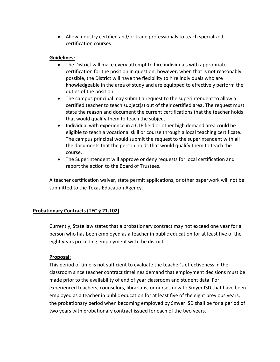• Allow industry certified and/or trade professionals to teach specialized certification courses

#### **Guidelines:**

- The District will make every attempt to hire individuals with appropriate certification for the position in question; however, when that is not reasonably possible, the District will have the flexibility to hire individuals who are knowledgeable in the area of study and are equipped to effectively perform the duties of the position.
- The campus principal may submit a request to the superintendent to allow a certified teacher to teach subject(s) out of their certified area. The request must state the reason and document the current certifications that the teacher holds that would qualify them to teach the subject.
- Individual with experience in a CTE field or other high demand area could be eligible to teach a vocational skill or course through a local teaching certificate. The campus principal would submit the request to the superintendent with all the documents that the person holds that would qualify them to teach the course.
- The Superintendent will approve or deny requests for local certification and report the action to the Board of Trustees.

A teacher certification waiver, state permit applications, or other paperwork will not be submitted to the Texas Education Agency.

#### **Probationary Contracts (TEC § 21.102)**

Currently, State law states that a probationary contract may not exceed one year for a person who has been employed as a teacher in public education for at least five of the eight years preceding employment with the district.

#### **Proposal:**

This period of time is not sufficient to evaluate the teacher's effectiveness in the classroom since teacher contract timelines demand that employment decisions must be made prior to the availability of end of year classroom and student data. For experienced teachers, counselors, librarians, or nurses new to Smyer ISD that have been employed as a teacher in public education for at least five of the eight previous years, the probationary period when becoming employed by Smyer ISD shall be for a period of two years with probationary contract issued for each of the two years.